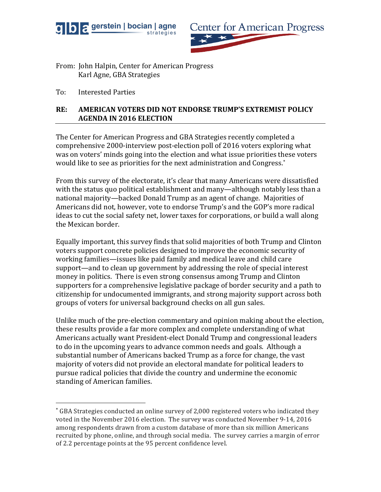



From: John Halpin, Center for American Progress Karl Agne, GBA Strategies

To: Interested Parties

 

## **RE: AMERICAN VOTERS DID NOT ENDORSE TRUMP'S EXTREMIST POLICY AGENDA IN 2016 ELECTION**

The Center for American Progress and GBA Strategies recently completed a comprehensive 2000-interview post-election poll of 2016 voters exploring what was on voters' minds going into the election and what issue priorities these voters would like to see as priorities for the next administration and Congress.<sup>\*</sup>

From this survey of the electorate, it's clear that many Americans were dissatisfied with the status quo political establishment and many—although notably less than a national majority—backed Donald Trump as an agent of change. Majorities of Americans did not, however, vote to endorse Trump's and the GOP's more radical ideas to cut the social safety net, lower taxes for corporations, or build a wall along the Mexican border.

Equally important, this survey finds that solid majorities of both Trump and Clinton voters support concrete policies designed to improve the economic security of working families—issues like paid family and medical leave and child care support—and to clean up government by addressing the role of special interest money in politics. There is even strong consensus among Trump and Clinton supporters for a comprehensive legislative package of border security and a path to citizenship for undocumented immigrants, and strong majority support across both groups of voters for universal background checks on all gun sales.

Unlike much of the pre-election commentary and opinion making about the election, these results provide a far more complex and complete understanding of what Americans actually want President-elect Donald Trump and congressional leaders to do in the upcoming years to advance common needs and goals. Although a substantial number of Americans backed Trump as a force for change, the vast majority of voters did not provide an electoral mandate for political leaders to pursue radical policies that divide the country and undermine the economic standing of American families.

<sup>\*</sup> GBA Strategies conducted an online survey of 2,000 registered voters who indicated they voted in the November 2016 election. The survey was conducted November 9-14, 2016 among respondents drawn from a custom database of more than six million Americans recruited by phone, online, and through social media. The survey carries a margin of error of 2.2 percentage points at the 95 percent confidence level.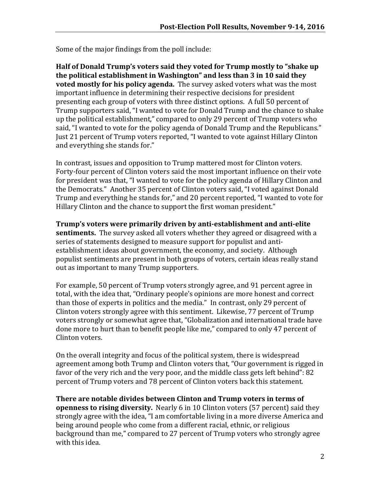Some of the major findings from the poll include:

Half of Donald Trump's voters said they voted for Trump mostly to "shake up **the political establishment in Washington" and less than 3 in 10 said they voted mostly for his policy agenda.** The survey asked voters what was the most important influence in determining their respective decisions for president presenting each group of voters with three distinct options. A full 50 percent of Trump supporters said, "I wanted to vote for Donald Trump and the chance to shake up the political establishment," compared to only 29 percent of Trump voters who said, "I wanted to vote for the policy agenda of Donald Trump and the Republicans." Just 21 percent of Trump voters reported, "I wanted to vote against Hillary Clinton and everything she stands for."

In contrast, issues and opposition to Trump mattered most for Clinton voters. Forty-four percent of Clinton voters said the most important influence on their vote for president was that, "I wanted to vote for the policy agenda of Hillary Clinton and the Democrats." Another 35 percent of Clinton voters said, "I voted against Donald Trump and everything he stands for," and 20 percent reported, "I wanted to vote for Hillary Clinton and the chance to support the first woman president."

Trump's voters were primarily driven by anti-establishment and anti-elite **sentiments.** The survey asked all voters whether they agreed or disagreed with a series of statements designed to measure support for populist and antiestablishment ideas about government, the economy, and society. Although populist sentiments are present in both groups of voters, certain ideas really stand out as important to many Trump supporters.

For example, 50 percent of Trump voters strongly agree, and 91 percent agree in total, with the idea that, "Ordinary people's opinions are more honest and correct than those of experts in politics and the media." In contrast, only 29 percent of Clinton voters strongly agree with this sentiment. Likewise, 77 percent of Trump voters strongly or somewhat agree that, "Globalization and international trade have done more to hurt than to benefit people like me," compared to only 47 percent of Clinton voters.

On the overall integrity and focus of the political system, there is widespread agreement among both Trump and Clinton voters that, "Our government is rigged in favor of the very rich and the very poor, and the middle class gets left behind": 82 percent of Trump voters and 78 percent of Clinton voters back this statement.

**There are notable divides between Clinton and Trump voters in terms of openness to rising diversity.** Nearly 6 in 10 Clinton voters (57 percent) said they strongly agree with the idea, "I am comfortable living in a more diverse America and being around people who come from a different racial, ethnic, or religious background than me," compared to 27 percent of Trump voters who strongly agree with this idea.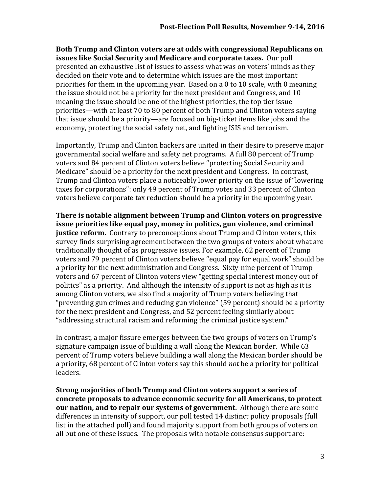Both Trump and Clinton voters are at odds with congressional Republicans on **issues like Social Security and Medicare and corporate taxes.** Our poll presented an exhaustive list of issues to assess what was on voters' minds as they decided on their vote and to determine which issues are the most important priorities for them in the upcoming year. Based on a  $0$  to 10 scale, with  $0$  meaning the issue should not be a priority for the next president and Congress, and  $10$ meaning the issue should be one of the highest priorities, the top tier issue priorities—with at least 70 to 80 percent of both Trump and Clinton voters saying that issue should be a priority—are focused on big-ticket items like jobs and the economy, protecting the social safety net, and fighting ISIS and terrorism.

Importantly, Trump and Clinton backers are united in their desire to preserve major governmental social welfare and safety net programs. A full 80 percent of Trump voters and 84 percent of Clinton voters believe "protecting Social Security and Medicare" should be a priority for the next president and Congress. In contrast, Trump and Clinton voters place a noticeably lower priority on the issue of "lowering" taxes for corporations": only 49 percent of Trump votes and 33 percent of Clinton voters believe corporate tax reduction should be a priority in the upcoming year.

**There is notable alignment between Trump and Clinton voters on progressive issue priorities like equal pay, money in politics, gun violence, and criminal justice reform.** Contrary to preconceptions about Trump and Clinton voters, this survey finds surprising agreement between the two groups of voters about what are traditionally thought of as progressive issues. For example, 62 percent of Trump voters and 79 percent of Clinton voters believe "equal pay for equal work" should be a priority for the next administration and Congress. Sixty-nine percent of Trump voters and 67 percent of Clinton voters view "getting special interest money out of politics" as a priority. And although the intensity of support is not as high as it is among Clinton voters, we also find a majority of Trump voters believing that "preventing gun crimes and reducing gun violence" (59 percent) should be a priority for the next president and Congress, and 52 percent feeling similarly about "addressing structural racism and reforming the criminal justice system."

In contrast, a major fissure emerges between the two groups of voters on Trump's signature campaign issue of building a wall along the Mexican border. While 63 percent of Trump voters believe building a wall along the Mexican border should be a priority, 68 percent of Clinton voters say this should *not* be a priority for political leaders.

**Strong majorities of both Trump and Clinton voters support a series of** concrete proposals to advance economic security for all Americans, to protect **our nation, and to repair our systems of government.** Although there are some differences in intensity of support, our poll tested 14 distinct policy proposals (full list in the attached poll) and found majority support from both groups of voters on all but one of these issues. The proposals with notable consensus support are: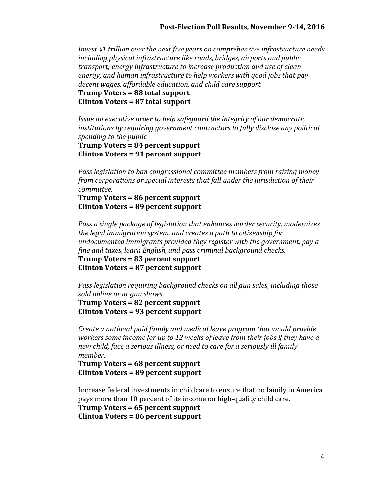*Invest* \$1 trillion over the next five years on comprehensive infrastructure needs *including physical infrastructure like roads, bridges, airports and public transport;* energy *infrastructure to increase production and use of clean energy;* and human infrastructure to help workers with good jobs that pay decent wages, affordable education, and child care support.

**Trump Voters = 88 total support Clinton Voters = 87 total support** 

*Issue an executive order to help safeguard the integrity of our democratic institutions by requiring government contractors to fully disclose any political* spending to the public.

**Trump Voters = 84 percent support Clinton Voters = 91 percent support** 

Pass *legislation to ban congressional committee members from raising money from corporations or special interests that fall under the jurisdiction of their committee.* 

**Trump Voters = 86 percent support Clinton Voters = 89 percent support**

Pass a single package of legislation that enhances border security, modernizes the *legal* immigration system, and creates a path to citizenship for *undocumented immigrants provided they register with the government, pay a fine and taxes, learn English, and pass criminal background checks.* **Trump Voters = 83 percent support**

**Clinton Voters = 87 percent support**

Pass legislation requiring background checks on all gun sales, including those sold online or at gun shows.

**Trump Voters = 82 percent support Clinton Voters = 93 percent support**

*Create a national paid family and medical leave program that would provide workers some income for up to 12 weeks of leave from their jobs if they have a* new child, face a serious illness, or need to care for a seriously ill family *member.*

**Trump Voters = 68 percent support Clinton Voters = 89 percent support** 

Increase federal investments in childcare to ensure that no family in America pays more than 10 percent of its income on high-quality child care. **Trump Voters = 65 percent support Clinton Voters = 86 percent support**